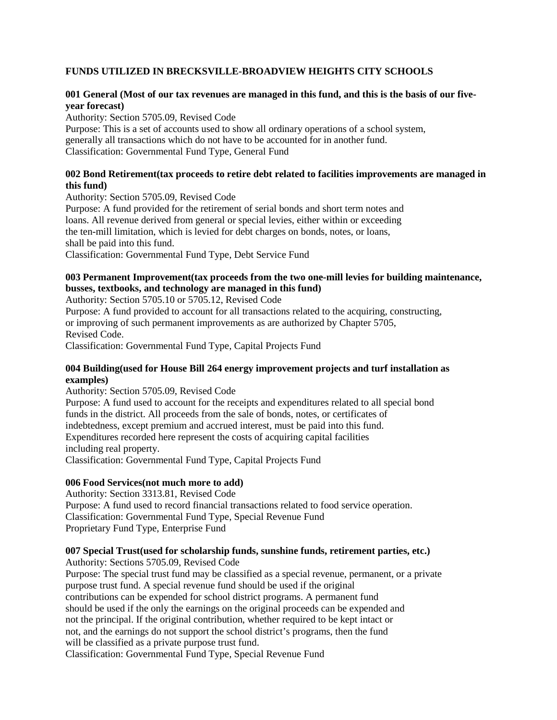### **FUNDS UTILIZED IN BRECKSVILLE-BROADVIEW HEIGHTS CITY SCHOOLS**

### **001 General (Most of our tax revenues are managed in this fund, and this is the basis of our fiveyear forecast)**

Authority: Section 5705.09, Revised Code Purpose: This is a set of accounts used to show all ordinary operations of a school system, generally all transactions which do not have to be accounted for in another fund.

Classification: Governmental Fund Type, General Fund

#### **002 Bond Retirement(tax proceeds to retire debt related to facilities improvements are managed in this fund)**

Authority: Section 5705.09, Revised Code

Purpose: A fund provided for the retirement of serial bonds and short term notes and loans. All revenue derived from general or special levies, either within or exceeding the ten-mill limitation, which is levied for debt charges on bonds, notes, or loans, shall be paid into this fund. Classification: Governmental Fund Type, Debt Service Fund

# **003 Permanent Improvement(tax proceeds from the two one-mill levies for building maintenance, busses, textbooks, and technology are managed in this fund)**

Authority: Section 5705.10 or 5705.12, Revised Code

Purpose: A fund provided to account for all transactions related to the acquiring, constructing, or improving of such permanent improvements as are authorized by Chapter 5705, Revised Code.

Classification: Governmental Fund Type, Capital Projects Fund

### **004 Building(used for House Bill 264 energy improvement projects and turf installation as examples)**

Authority: Section 5705.09, Revised Code

Purpose: A fund used to account for the receipts and expenditures related to all special bond funds in the district. All proceeds from the sale of bonds, notes, or certificates of indebtedness, except premium and accrued interest, must be paid into this fund. Expenditures recorded here represent the costs of acquiring capital facilities including real property. Classification: Governmental Fund Type, Capital Projects Fund

# **006 Food Services(not much more to add)**

Authority: Section 3313.81, Revised Code Purpose: A fund used to record financial transactions related to food service operation. Classification: Governmental Fund Type, Special Revenue Fund Proprietary Fund Type, Enterprise Fund

#### **007 Special Trust(used for scholarship funds, sunshine funds, retirement parties, etc.)**

Authority: Sections 5705.09, Revised Code Purpose: The special trust fund may be classified as a special revenue, permanent, or a private purpose trust fund. A special revenue fund should be used if the original contributions can be expended for school district programs. A permanent fund should be used if the only the earnings on the original proceeds can be expended and not the principal. If the original contribution, whether required to be kept intact or not, and the earnings do not support the school district's programs, then the fund will be classified as a private purpose trust fund. Classification: Governmental Fund Type, Special Revenue Fund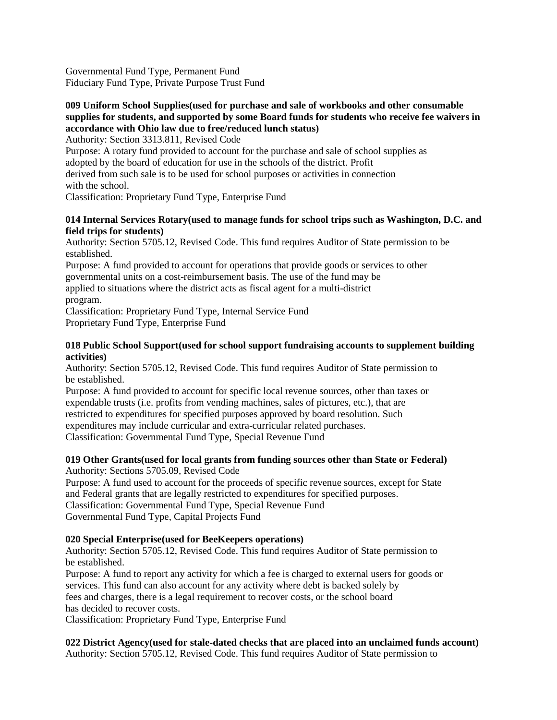Governmental Fund Type, Permanent Fund Fiduciary Fund Type, Private Purpose Trust Fund

# **009 Uniform School Supplies(used for purchase and sale of workbooks and other consumable supplies for students, and supported by some Board funds for students who receive fee waivers in accordance with Ohio law due to free/reduced lunch status)**

Authority: Section 3313.811, Revised Code

Purpose: A rotary fund provided to account for the purchase and sale of school supplies as

adopted by the board of education for use in the schools of the district. Profit

derived from such sale is to be used for school purposes or activities in connection

with the school.

Classification: Proprietary Fund Type, Enterprise Fund

### **014 Internal Services Rotary(used to manage funds for school trips such as Washington, D.C. and field trips for students)**

Authority: Section 5705.12, Revised Code. This fund requires Auditor of State permission to be established.

Purpose: A fund provided to account for operations that provide goods or services to other governmental units on a cost-reimbursement basis. The use of the fund may be applied to situations where the district acts as fiscal agent for a multi-district

program.

Classification: Proprietary Fund Type, Internal Service Fund Proprietary Fund Type, Enterprise Fund

## **018 Public School Support(used for school support fundraising accounts to supplement building activities)**

Authority: Section 5705.12, Revised Code. This fund requires Auditor of State permission to be established.

Purpose: A fund provided to account for specific local revenue sources, other than taxes or expendable trusts (i.e. profits from vending machines, sales of pictures, etc.), that are restricted to expenditures for specified purposes approved by board resolution. Such expenditures may include curricular and extra-curricular related purchases. Classification: Governmental Fund Type, Special Revenue Fund

# **019 Other Grants(used for local grants from funding sources other than State or Federal)**

Authority: Sections 5705.09, Revised Code Purpose: A fund used to account for the proceeds of specific revenue sources, except for State

and Federal grants that are legally restricted to expenditures for specified purposes. Classification: Governmental Fund Type, Special Revenue Fund Governmental Fund Type, Capital Projects Fund

# **020 Special Enterprise(used for BeeKeepers operations)**

Authority: Section 5705.12, Revised Code. This fund requires Auditor of State permission to be established.

Purpose: A fund to report any activity for which a fee is charged to external users for goods or services. This fund can also account for any activity where debt is backed solely by fees and charges, there is a legal requirement to recover costs, or the school board has decided to recover costs.

Classification: Proprietary Fund Type, Enterprise Fund

**022 District Agency(used for stale-dated checks that are placed into an unclaimed funds account)**  Authority: Section 5705.12, Revised Code. This fund requires Auditor of State permission to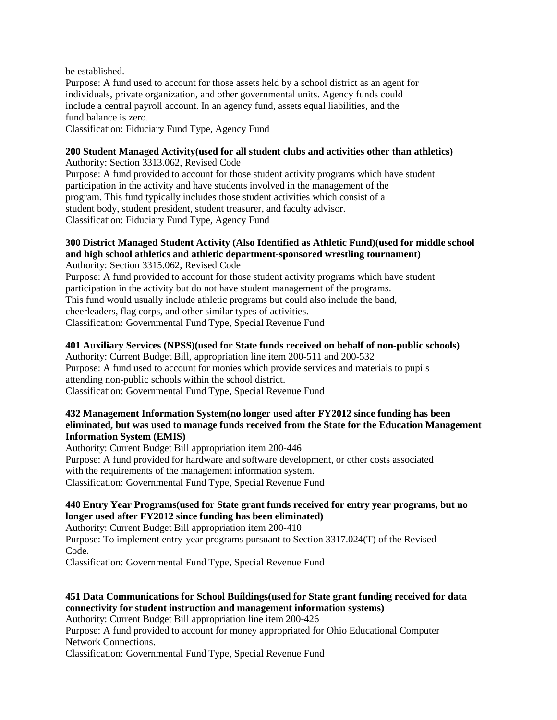be established.

Purpose: A fund used to account for those assets held by a school district as an agent for individuals, private organization, and other governmental units. Agency funds could include a central payroll account. In an agency fund, assets equal liabilities, and the fund balance is zero. Classification: Fiduciary Fund Type, Agency Fund

#### **200 Student Managed Activity(used for all student clubs and activities other than athletics)**  Authority: Section 3313.062, Revised Code

Purpose: A fund provided to account for those student activity programs which have student participation in the activity and have students involved in the management of the program. This fund typically includes those student activities which consist of a student body, student president, student treasurer, and faculty advisor. Classification: Fiduciary Fund Type, Agency Fund

# **300 District Managed Student Activity (Also Identified as Athletic Fund)(used for middle school and high school athletics and athletic department-sponsored wrestling tournament)**

Authority: Section 3315.062, Revised Code Purpose: A fund provided to account for those student activity programs which have student participation in the activity but do not have student management of the programs. This fund would usually include athletic programs but could also include the band, cheerleaders, flag corps, and other similar types of activities. Classification: Governmental Fund Type, Special Revenue Fund

# **401 Auxiliary Services (NPSS)(used for State funds received on behalf of non-public schools)**

Authority: Current Budget Bill, appropriation line item 200-511 and 200-532 Purpose: A fund used to account for monies which provide services and materials to pupils attending non-public schools within the school district. Classification: Governmental Fund Type, Special Revenue Fund

#### **432 Management Information System(no longer used after FY2012 since funding has been eliminated, but was used to manage funds received from the State for the Education Management Information System (EMIS)**

Authority: Current Budget Bill appropriation item 200-446 Purpose: A fund provided for hardware and software development, or other costs associated with the requirements of the management information system. Classification: Governmental Fund Type, Special Revenue Fund

# **440 Entry Year Programs(used for State grant funds received for entry year programs, but no longer used after FY2012 since funding has been eliminated)**

Authority: Current Budget Bill appropriation item 200-410 Purpose: To implement entry-year programs pursuant to Section 3317.024(T) of the Revised Code.

Classification: Governmental Fund Type, Special Revenue Fund

# **451 Data Communications for School Buildings(used for State grant funding received for data connectivity for student instruction and management information systems)**

Authority: Current Budget Bill appropriation line item 200-426

Purpose: A fund provided to account for money appropriated for Ohio Educational Computer Network Connections.

Classification: Governmental Fund Type, Special Revenue Fund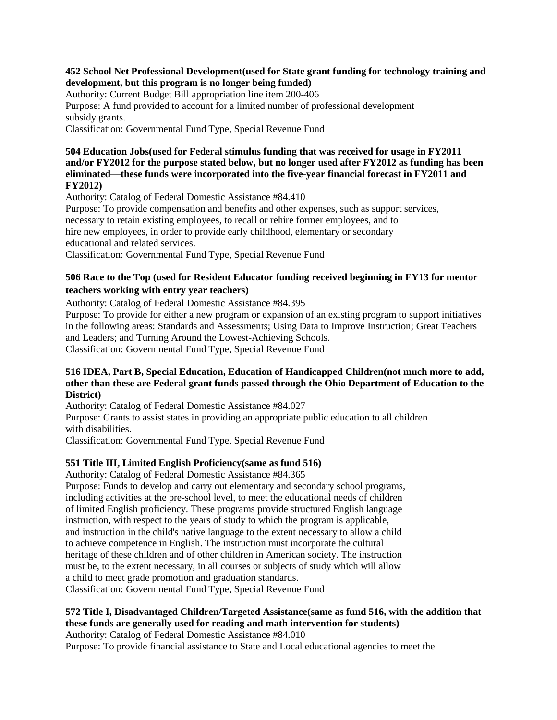**452 School Net Professional Development(used for State grant funding for technology training and development, but this program is no longer being funded)** 

Authority: Current Budget Bill appropriation line item 200-406 Purpose: A fund provided to account for a limited number of professional development subsidy grants. Classification: Governmental Fund Type, Special Revenue Fund

#### **504 Education Jobs(used for Federal stimulus funding that was received for usage in FY2011 and/or FY2012 for the purpose stated below, but no longer used after FY2012 as funding has been eliminated—these funds were incorporated into the five-year financial forecast in FY2011 and FY2012)**

Authority: Catalog of Federal Domestic Assistance #84.410

Purpose: To provide compensation and benefits and other expenses, such as support services, necessary to retain existing employees, to recall or rehire former employees, and to hire new employees, in order to provide early childhood, elementary or secondary educational and related services. Classification: Governmental Fund Type, Special Revenue Fund

# **506 Race to the Top (used for Resident Educator funding received beginning in FY13 for mentor teachers working with entry year teachers)**

Authority: Catalog of Federal Domestic Assistance #84.395

Purpose: To provide for either a new program or expansion of an existing program to support initiatives in the following areas: Standards and Assessments; Using Data to Improve Instruction; Great Teachers and Leaders; and Turning Around the Lowest-Achieving Schools. Classification: Governmental Fund Type, Special Revenue Fund

#### **516 IDEA, Part B, Special Education, Education of Handicapped Children(not much more to add, other than these are Federal grant funds passed through the Ohio Department of Education to the District)**

Authority: Catalog of Federal Domestic Assistance #84.027

Purpose: Grants to assist states in providing an appropriate public education to all children with disabilities.

Classification: Governmental Fund Type, Special Revenue Fund

# **551 Title III, Limited English Proficiency(same as fund 516)**

Authority: Catalog of Federal Domestic Assistance #84.365

Purpose: Funds to develop and carry out elementary and secondary school programs, including activities at the pre-school level, to meet the educational needs of children of limited English proficiency. These programs provide structured English language instruction, with respect to the years of study to which the program is applicable, and instruction in the child's native language to the extent necessary to allow a child to achieve competence in English. The instruction must incorporate the cultural heritage of these children and of other children in American society. The instruction must be, to the extent necessary, in all courses or subjects of study which will allow a child to meet grade promotion and graduation standards. Classification: Governmental Fund Type, Special Revenue Fund

# **572 Title I, Disadvantaged Children/Targeted Assistance(same as fund 516, with the addition that these funds are generally used for reading and math intervention for students)**

Authority: Catalog of Federal Domestic Assistance #84.010

Purpose: To provide financial assistance to State and Local educational agencies to meet the